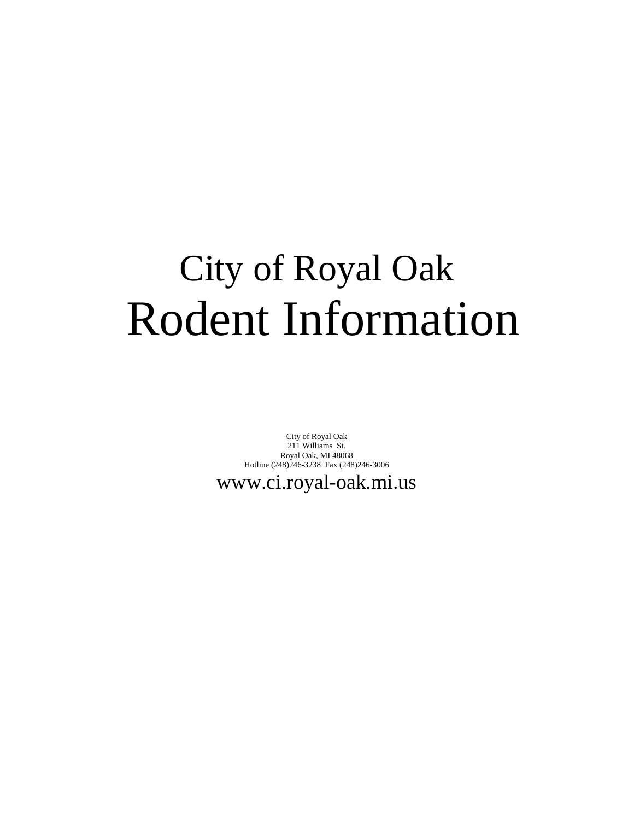# City of Royal Oak Rodent Information

City of Royal Oak 211 Williams St. Royal Oak, MI 48068 Hotline (248)246-3238 Fax (248)246-3006

www.ci.royal-oak.mi.us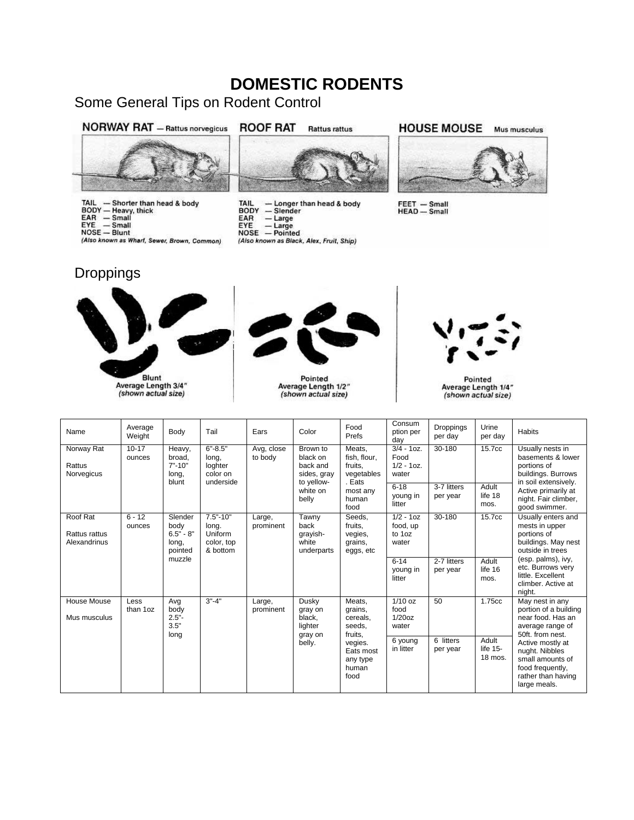## **DOMESTIC RODENTS**

Some General Tips on Rodent Control



TAIL — Shorter than head & body<br>BODY — Heavy, thick<br>EAR — Small<br>EYE — Small<br>NOSE — Blunt

(Also known as Whart, Sewer, Brown, Common)

#### **ROOF RAT Rattus rattus**



TAIL — Longer than head & body<br>BODY — Slender<br>EAR — Large<br>EYE — Large<br>NOSE — Pointed (Also known as Black, Alex, Fruit, Ship)

**HOUSE MOUSE** Mus musculus



FEET - Small<br>HEAD - Small

### **Droppings**





Pointed<br>Average Length 1/2"<br>(shown actual size)



Pointed Average Length 1/4"<br>(shown actual size)

| Name                                      | Average<br>Weight   | Body                                                         | Tail                                                       | Ears                  | Color                                                                              | Food<br>Prefs                                                                                           | Consum<br>ption per<br>day                                  | <b>Droppings</b><br>per day | Urine<br>per day                        | <b>Habits</b>                                                                                                                                                                                                             |
|-------------------------------------------|---------------------|--------------------------------------------------------------|------------------------------------------------------------|-----------------------|------------------------------------------------------------------------------------|---------------------------------------------------------------------------------------------------------|-------------------------------------------------------------|-----------------------------|-----------------------------------------|---------------------------------------------------------------------------------------------------------------------------------------------------------------------------------------------------------------------------|
| Norway Rat<br>Rattus<br>Norvegicus        | $10 - 17$<br>ounces | Heavy,<br>broad.<br>$7" - 10"$<br>long,<br>blunt             | $6" - 8.5"$<br>long,<br>loghter<br>color on<br>underside   | Avg, close<br>to body | Brown to<br>black on<br>back and<br>sides, gray<br>to yellow-<br>white on<br>belly | Meats,<br>fish. flour.<br>fruits.<br>vegetables<br>. Eats<br>most any<br>human<br>food                  | $3/4 - 10z$ .<br>Food<br>$1/2 - 10z$ .<br>water<br>$6 - 18$ | 30-180<br>3-7 litters       | 15.7cc<br>Adult                         | Usually nests in<br>basements & lower<br>portions of<br>buildings. Burrows<br>in soil extensively.<br>Active primarily at<br>life 18<br>night. Fair climber,<br>mos.<br>good swimmer.                                     |
|                                           |                     |                                                              |                                                            |                       |                                                                                    |                                                                                                         | young in<br>litter                                          | per year                    |                                         |                                                                                                                                                                                                                           |
| Roof Rat<br>Rattus rattus<br>Alexandrinus | $6 - 12$<br>ounces  | Slender<br>body<br>$6.5" - 8"$<br>long,<br>pointed<br>muzzle | $7.5" - 10"$<br>long.<br>Uniform<br>color, top<br>& bottom | Large,<br>prominent   | Tawny<br>back<br>grayish-<br>white<br>underparts                                   | Seeds.<br>fruits.<br>vegies,<br>grains,<br>eggs, etc                                                    | $1/2 - 10z$<br>food, up<br>to 1oz<br>water                  | 30-180                      | 15.7cc                                  | Usually enters and<br>mests in upper<br>portions of<br>buildings. May nest<br>outside in trees<br>(esp. palms), ivy,<br>etc. Burrows very<br>little. Excellent<br>climber. Active at<br>night.                            |
|                                           |                     |                                                              |                                                            |                       |                                                                                    |                                                                                                         | $6 - 14$<br>young in<br>litter                              | 2-7 litters<br>per year     | Adult<br>life 16<br>mos.                |                                                                                                                                                                                                                           |
| House Mouse<br>Mus musculus               | Less<br>than 1oz    | Avg<br>body<br>$2.5"$ -<br>3.5"<br>long                      | $3" - 4"$                                                  | Large,<br>prominent   | Dusky<br>gray on<br>black.<br>lighter<br>gray on<br>belly.                         | Meats,<br>grains,<br>cereals.<br>seeds.<br>fruits.<br>vegies.<br>Eats most<br>any type<br>human<br>food | $1/10$ oz<br>food<br>1/20oz<br>water                        | 50                          | 1.75cc                                  | May nest in any<br>portion of a building<br>near food. Has an<br>average range of<br>50ft. from nest.<br>Active mostly at<br>nught. Nibbles<br>small amounts of<br>food frequently,<br>rather than having<br>large meals. |
|                                           |                     |                                                              |                                                            |                       |                                                                                    |                                                                                                         | 6 young<br>in litter                                        | 6 litters<br>per year       | Adult<br>life 15-<br>$18 \text{ mos}$ . |                                                                                                                                                                                                                           |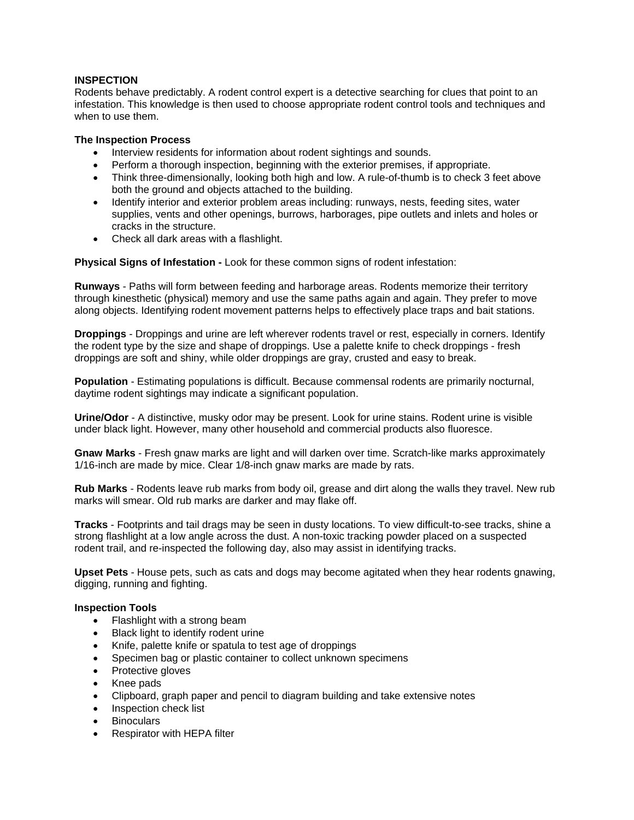#### **INSPECTION**

Rodents behave predictably. A rodent control expert is a detective searching for clues that point to an infestation. This knowledge is then used to choose appropriate rodent control tools and techniques and when to use them.

#### **The Inspection Process**

- Interview residents for information about rodent sightings and sounds.
- Perform a thorough inspection, beginning with the exterior premises, if appropriate.
- Think three-dimensionally, looking both high and low. A rule-of-thumb is to check 3 feet above both the ground and objects attached to the building.
- Identify interior and exterior problem areas including: runways, nests, feeding sites, water supplies, vents and other openings, burrows, harborages, pipe outlets and inlets and holes or cracks in the structure.
- Check all dark areas with a flashlight.

**Physical Signs of Infestation -** Look for these common signs of rodent infestation:

**Runways** - Paths will form between feeding and harborage areas. Rodents memorize their territory through kinesthetic (physical) memory and use the same paths again and again. They prefer to move along objects. Identifying rodent movement patterns helps to effectively place traps and bait stations.

**Droppings** - Droppings and urine are left wherever rodents travel or rest, especially in corners. Identify the rodent type by the size and shape of droppings. Use a palette knife to check droppings - fresh droppings are soft and shiny, while older droppings are gray, crusted and easy to break.

**Population** - Estimating populations is difficult. Because commensal rodents are primarily nocturnal, daytime rodent sightings may indicate a significant population.

**Urine/Odor** - A distinctive, musky odor may be present. Look for urine stains. Rodent urine is visible under black light. However, many other household and commercial products also fluoresce.

**Gnaw Marks** - Fresh gnaw marks are light and will darken over time. Scratch-like marks approximately 1/16-inch are made by mice. Clear 1/8-inch gnaw marks are made by rats.

**Rub Marks** - Rodents leave rub marks from body oil, grease and dirt along the walls they travel. New rub marks will smear. Old rub marks are darker and may flake off.

**Tracks** - Footprints and tail drags may be seen in dusty locations. To view difficult-to-see tracks, shine a strong flashlight at a low angle across the dust. A non-toxic tracking powder placed on a suspected rodent trail, and re-inspected the following day, also may assist in identifying tracks.

**Upset Pets** - House pets, such as cats and dogs may become agitated when they hear rodents gnawing, digging, running and fighting.

#### **Inspection Tools**

- Flashlight with a strong beam
- Black light to identify rodent urine
- Knife, palette knife or spatula to test age of droppings
- Specimen bag or plastic container to collect unknown specimens
- Protective gloves
- Knee pads
- Clipboard, graph paper and pencil to diagram building and take extensive notes
- **•** Inspection check list
- **Binoculars**
- Respirator with HEPA filter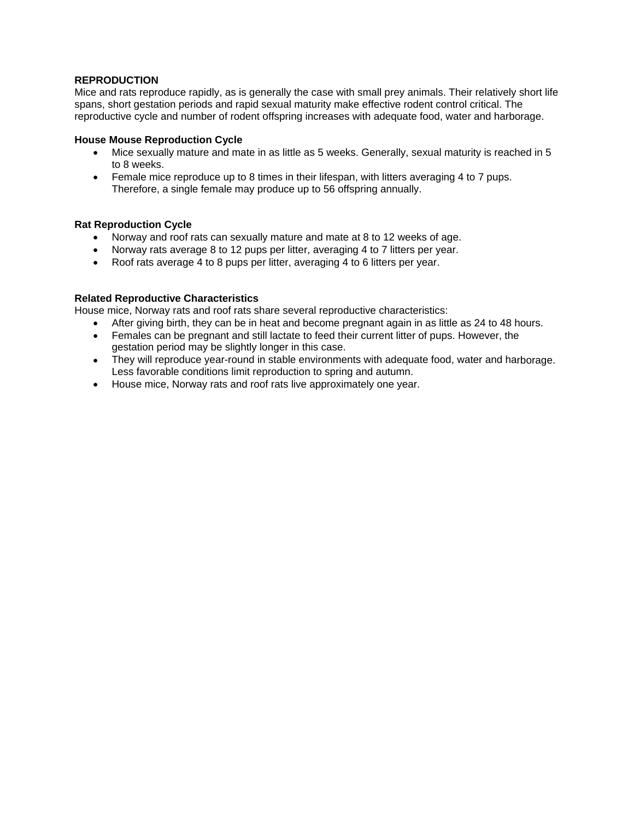#### **REPRODUCTION**

Mice and rats reproduce rapidly, as is generally the case with small prey animals. Their relatively short life spans, short gestation periods and rapid sexual maturity make effective rodent control critical. The reproductive cycle and number of rodent offspring increases with adequate food, water and harborage.

#### **House Mouse Reproduction Cycle**

- Mice sexually mature and mate in as little as 5 weeks. Generally, sexual maturity is reached in 5 to 8 weeks.
- Female mice reproduce up to 8 times in their lifespan, with litters averaging 4 to 7 pups. Therefore, a single female may produce up to 56 offspring annually.

#### **Rat Reproduction Cycle**

- Norway and roof rats can sexually mature and mate at 8 to 12 weeks of age.
- Norway rats average 8 to 12 pups per litter, averaging 4 to 7 litters per year.
- Roof rats average 4 to 8 pups per litter, averaging 4 to 6 litters per year.

#### **Related Reproductive Characteristics**

House mice, Norway rats and roof rats share several reproductive characteristics:

- After giving birth, they can be in heat and become pregnant again in as little as 24 to 48 hours.
- Females can be pregnant and still lactate to feed their current litter of pups. However, the gestation period may be slightly longer in this case.
- They will reproduce year-round in stable environments with adequate food, water and harborage. Less favorable conditions limit reproduction to spring and autumn.
- House mice, Norway rats and roof rats live approximately one year.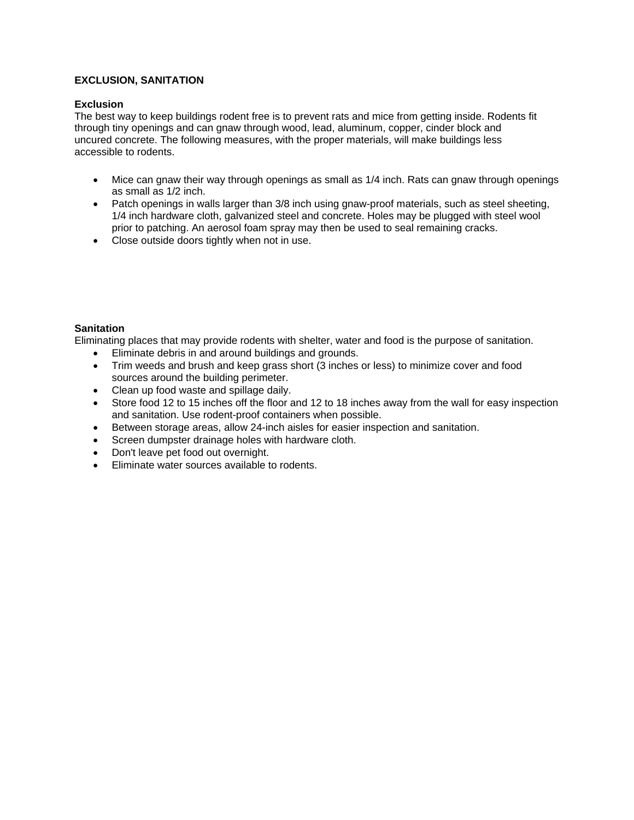#### **EXCLUSION, SANITATION**

#### **Exclusion**

The best way to keep buildings rodent free is to prevent rats and mice from getting inside. Rodents fit through tiny openings and can gnaw through wood, lead, aluminum, copper, cinder block and uncured concrete. The following measures, with the proper materials, will make buildings less accessible to rodents.

- Mice can gnaw their way through openings as small as 1/4 inch. Rats can gnaw through openings as small as 1/2 inch.
- Patch openings in walls larger than 3/8 inch using gnaw-proof materials, such as steel sheeting, 1/4 inch hardware cloth, galvanized steel and concrete. Holes may be plugged with steel wool prior to patching. An aerosol foam spray may then be used to seal remaining cracks.
- Close outside doors tightly when not in use.

#### **Sanitation**

Eliminating places that may provide rodents with shelter, water and food is the purpose of sanitation.

- Eliminate debris in and around buildings and grounds.
- Trim weeds and brush and keep grass short (3 inches or less) to minimize cover and food sources around the building perimeter.
- Clean up food waste and spillage daily.
- Store food 12 to 15 inches off the floor and 12 to 18 inches away from the wall for easy inspection and sanitation. Use rodent-proof containers when possible.
- Between storage areas, allow 24-inch aisles for easier inspection and sanitation.
- Screen dumpster drainage holes with hardware cloth.
- Don't leave pet food out overnight.
- Eliminate water sources available to rodents.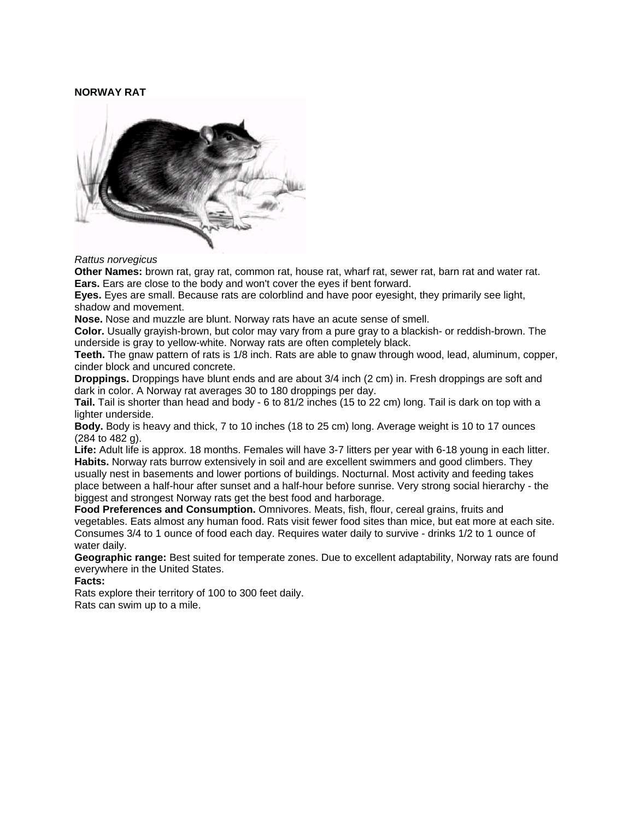#### **NORWAY RAT**



#### *Rattus norvegicus*

**Other Names:** brown rat, gray rat, common rat, house rat, wharf rat, sewer rat, barn rat and water rat. **Ears.** Ears are close to the body and won't cover the eyes if bent forward.

**Eyes.** Eyes are small. Because rats are colorblind and have poor eyesight, they primarily see light, shadow and movement.

**Nose.** Nose and muzzle are blunt. Norway rats have an acute sense of smell.

**Color.** Usually grayish-brown, but color may vary from a pure gray to a blackish- or reddish-brown. The underside is gray to yellow-white. Norway rats are often completely black.

**Teeth.** The gnaw pattern of rats is 1/8 inch. Rats are able to gnaw through wood, lead, aluminum, copper, cinder block and uncured concrete.

**Droppings.** Droppings have blunt ends and are about 3/4 inch (2 cm) in. Fresh droppings are soft and dark in color. A Norway rat averages 30 to 180 droppings per day.

**Tail.** Tail is shorter than head and body - 6 to 81/2 inches (15 to 22 cm) long. Tail is dark on top with a lighter underside.

**Body.** Body is heavy and thick, 7 to 10 inches (18 to 25 cm) long. Average weight is 10 to 17 ounces (284 to 482 g).

**Life:** Adult life is approx. 18 months. Females will have 3-7 litters per year with 6-18 young in each litter. **Habits.** Norway rats burrow extensively in soil and are excellent swimmers and good climbers. They usually nest in basements and lower portions of buildings. Nocturnal. Most activity and feeding takes place between a half-hour after sunset and a half-hour before sunrise. Very strong social hierarchy - the biggest and strongest Norway rats get the best food and harborage.

**Food Preferences and Consumption.** Omnivores. Meats, fish, flour, cereal grains, fruits and vegetables. Eats almost any human food. Rats visit fewer food sites than mice, but eat more at each site. Consumes 3/4 to 1 ounce of food each day. Requires water daily to survive - drinks 1/2 to 1 ounce of water daily.

**Geographic range:** Best suited for temperate zones. Due to excellent adaptability, Norway rats are found everywhere in the United States.

**Facts:**

Rats explore their territory of 100 to 300 feet daily. Rats can swim up to a mile.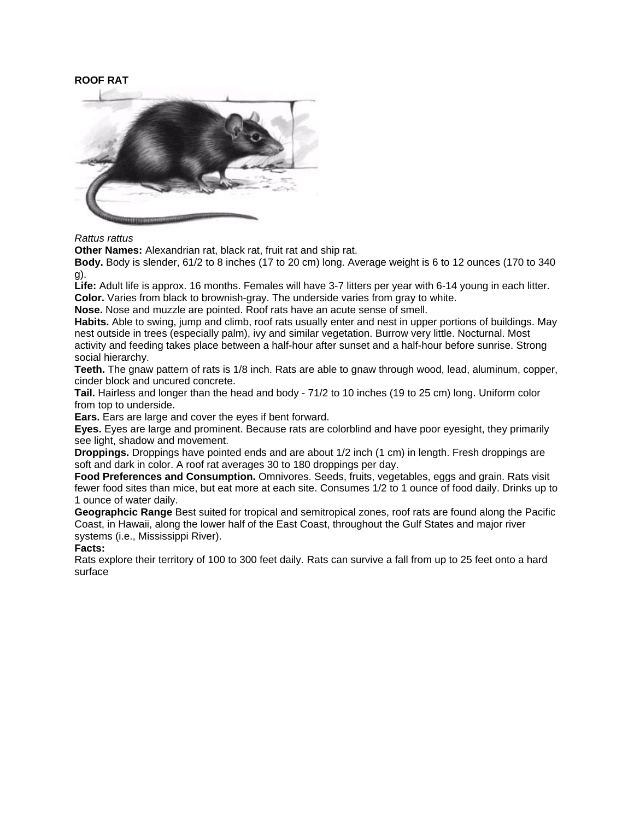#### **ROOF RAT**



*Rattus rattus*

**Other Names:** Alexandrian rat, black rat, fruit rat and ship rat.

**Body.** Body is slender, 61/2 to 8 inches (17 to 20 cm) long. Average weight is 6 to 12 ounces (170 to 340 g).

**Life:** Adult life is approx. 16 months. Females will have 3-7 litters per year with 6-14 young in each litter. **Color.** Varies from black to brownish-gray. The underside varies from gray to white.

**Nose.** Nose and muzzle are pointed. Roof rats have an acute sense of smell.

**Habits.** Able to swing, jump and climb, roof rats usually enter and nest in upper portions of buildings. May nest outside in trees (especially palm), ivy and similar vegetation. Burrow very little. Nocturnal. Most activity and feeding takes place between a half-hour after sunset and a half-hour before sunrise. Strong social hierarchy.

**Teeth.** The gnaw pattern of rats is 1/8 inch. Rats are able to gnaw through wood, lead, aluminum, copper, cinder block and uncured concrete.

**Tail.** Hairless and longer than the head and body - 71/2 to 10 inches (19 to 25 cm) long. Uniform color from top to underside.

**Ears.** Ears are large and cover the eyes if bent forward.

**Eyes.** Eyes are large and prominent. Because rats are colorblind and have poor eyesight, they primarily see light, shadow and movement.

**Droppings.** Droppings have pointed ends and are about 1/2 inch (1 cm) in length. Fresh droppings are soft and dark in color. A roof rat averages 30 to 180 droppings per day.

**Food Preferences and Consumption.** Omnivores. Seeds, fruits, vegetables, eggs and grain. Rats visit fewer food sites than mice, but eat more at each site. Consumes 1/2 to 1 ounce of food daily. Drinks up to 1 ounce of water daily.

**Geographcic Range** Best suited for tropical and semitropical zones, roof rats are found along the Pacific Coast, in Hawaii, along the lower half of the East Coast, throughout the Gulf States and major river systems (i.e., Mississippi River).

**Facts:**

Rats explore their territory of 100 to 300 feet daily. Rats can survive a fall from up to 25 feet onto a hard surface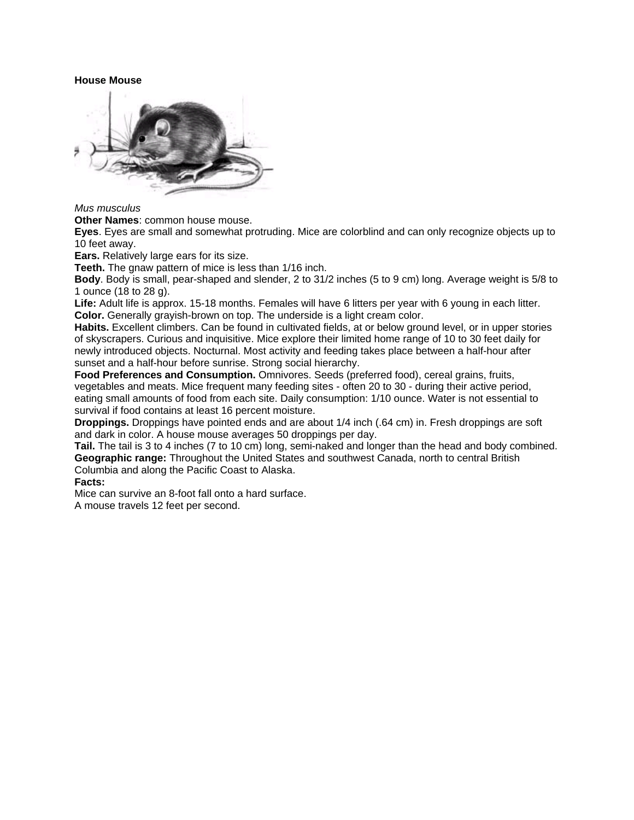#### **House Mouse**



*Mus musculus*

**Other Names**: common house mouse.

**Eyes**. Eyes are small and somewhat protruding. Mice are colorblind and can only recognize objects up to 10 feet away.

**Ears.** Relatively large ears for its size.

**Teeth.** The gnaw pattern of mice is less than 1/16 inch.

**Body**. Body is small, pear-shaped and slender, 2 to 31/2 inches (5 to 9 cm) long. Average weight is 5/8 to 1 ounce (18 to 28 g).

**Life:** Adult life is approx. 15-18 months. Females will have 6 litters per year with 6 young in each litter. **Color.** Generally grayish-brown on top. The underside is a light cream color.

**Habits.** Excellent climbers. Can be found in cultivated fields, at or below ground level, or in upper stories of skyscrapers. Curious and inquisitive. Mice explore their limited home range of 10 to 30 feet daily for newly introduced objects. Nocturnal. Most activity and feeding takes place between a half-hour after sunset and a half-hour before sunrise. Strong social hierarchy.

**Food Preferences and Consumption.** Omnivores. Seeds (preferred food), cereal grains, fruits, vegetables and meats. Mice frequent many feeding sites - often 20 to 30 - during their active period, eating small amounts of food from each site. Daily consumption: 1/10 ounce. Water is not essential to survival if food contains at least 16 percent moisture.

**Droppings.** Droppings have pointed ends and are about 1/4 inch (.64 cm) in. Fresh droppings are soft and dark in color. A house mouse averages 50 droppings per day.

**Tail.** The tail is 3 to 4 inches (7 to 10 cm) long, semi-naked and longer than the head and body combined. **Geographic range:** Throughout the United States and southwest Canada, north to central British Columbia and along the Pacific Coast to Alaska.

**Facts:**

Mice can survive an 8-foot fall onto a hard surface. A mouse travels 12 feet per second.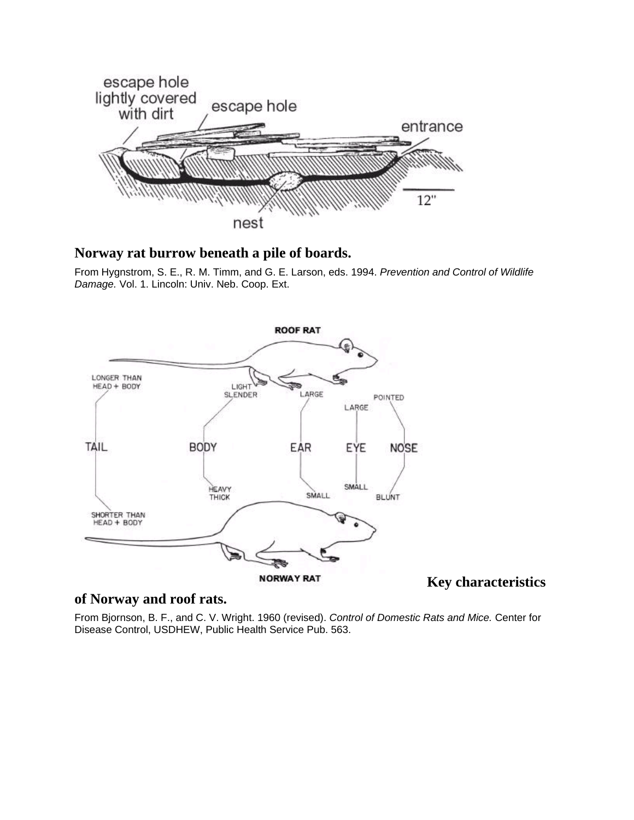

#### **Norway rat burrow beneath a pile of boards.**

From Hygnstrom, S. E., R. M. Timm, and G. E. Larson, eds. 1994. *Prevention and Control of Wildlife Damage.* Vol. 1. Lincoln: Univ. Neb. Coop. Ext.



#### **Key characteristics**

#### **of Norway and roof rats.**

From Bjornson, B. F., and C. V. Wright. 1960 (revised). *Control of Domestic Rats and Mice.* Center for Disease Control, USDHEW, Public Health Service Pub. 563.